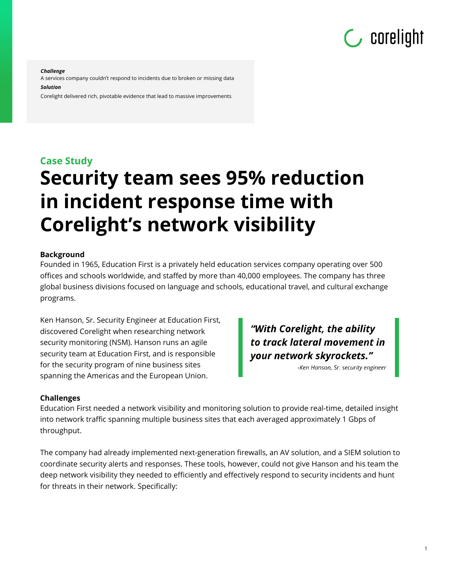

#### *Challenge*

A services company couldn't respond to incidents due to broken or missing data *Solution*

Corelight delivered rich, pivotable evidence that lead to massive improvements

# **Case Study Security team sees 95% reduction in incident response time with Corelight's network visibility**

### **Background**

Founded in 1965, Education First is a privately held education services company operating over 500 offices and schools worldwide, and staffed by more than 40,000 employees. The company has three global business divisions focused on language and schools, educational travel, and cultural exchange programs.

Ken Hanson, Sr. Security Engineer at Education First, discovered Corelight when researching network security monitoring (NSM). Hanson runs an agile security team at Education First, and is responsible for the security program of nine business sites spanning the Americas and the European Union.

"With Corelight, the ability to track lateral movement in your network skyrockets."

-Ken Hanson, Sr. security engineer

### **Challenges**

Education First needed a network visibility and monitoring solution to provide real-time, detailed insight into network traffic spanning multiple business sites that each averaged approximately 1 Gbps of throughput.

The company had already implemented next-generation firewalls, an AV solution, and a SIEM solution to coordinate security alerts and responses. These tools, however, could not give Hanson and his team the deep network visibility they needed to efficiently and effectively respond to security incidents and hunt for threats in their network. Specifically: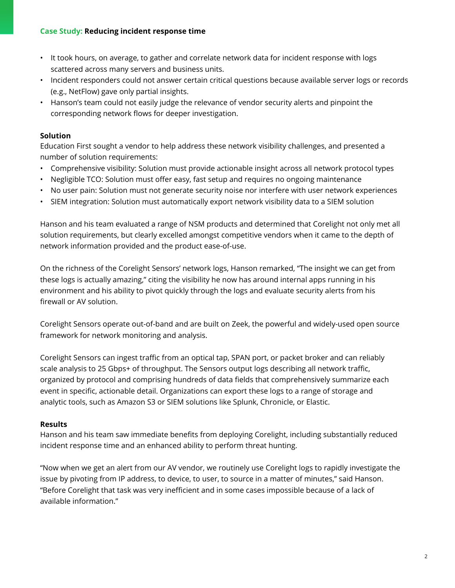## **Case Study: Reducing incident response time**

- It took hours, on average, to gather and correlate network data for incident response with logs scattered across many servers and business units.
- Incident responders could not answer certain critical questions because available server logs or records (e.g., NetFlow) gave only partial insights.
- Hanson's team could not easily judge the relevance of vendor security alerts and pinpoint the corresponding network flows for deeper investigation.

## **Solution**

Education First sought a vendor to help address these network visibility challenges, and presented a number of solution requirements:

- Comprehensive visibility: Solution must provide actionable insight across all network protocol types
- Negligible TCO: Solution must offer easy, fast setup and requires no ongoing maintenance
- No user pain: Solution must not generate security noise nor interfere with user network experiences
- SIEM integration: Solution must automatically export network visibility data to a SIEM solution

Hanson and his team evaluated a range of NSM products and determined that Corelight not only met all solution requirements, but clearly excelled amongst competitive vendors when it came to the depth of network information provided and the product ease-of-use.

On the richness of the Corelight Sensors' network logs, Hanson remarked, "The insight we can get from these logs is actually amazing," citing the visibility he now has around internal apps running in his environment and his ability to pivot quickly through the logs and evaluate security alerts from his firewall or AV solution.

Corelight Sensors operate out-of-band and are built on Zeek, the powerful and widely-used open source framework for network monitoring and analysis.

Corelight Sensors can ingest traffic from an optical tap, SPAN port, or packet broker and can reliably scale analysis to 25 Gbps+ of throughput. The Sensors output logs describing all network traffic, organized by protocol and comprising hundreds of data fields that comprehensively summarize each event in specific, actionable detail. Organizations can export these logs to a range of storage and analytic tools, such as Amazon S3 or SIEM solutions like Splunk, Chronicle, or Elastic.

## **Results**

Hanson and his team saw immediate benefits from deploying Corelight, including substantially reduced incident response time and an enhanced ability to perform threat hunting.

"Now when we get an alert from our AV vendor, we routinely use Corelight logs to rapidly investigate the issue by pivoting from IP address, to device, to user, to source in a matter of minutes," said Hanson. "Before Corelight that task was very inefficient and in some cases impossible because of a lack of available information."